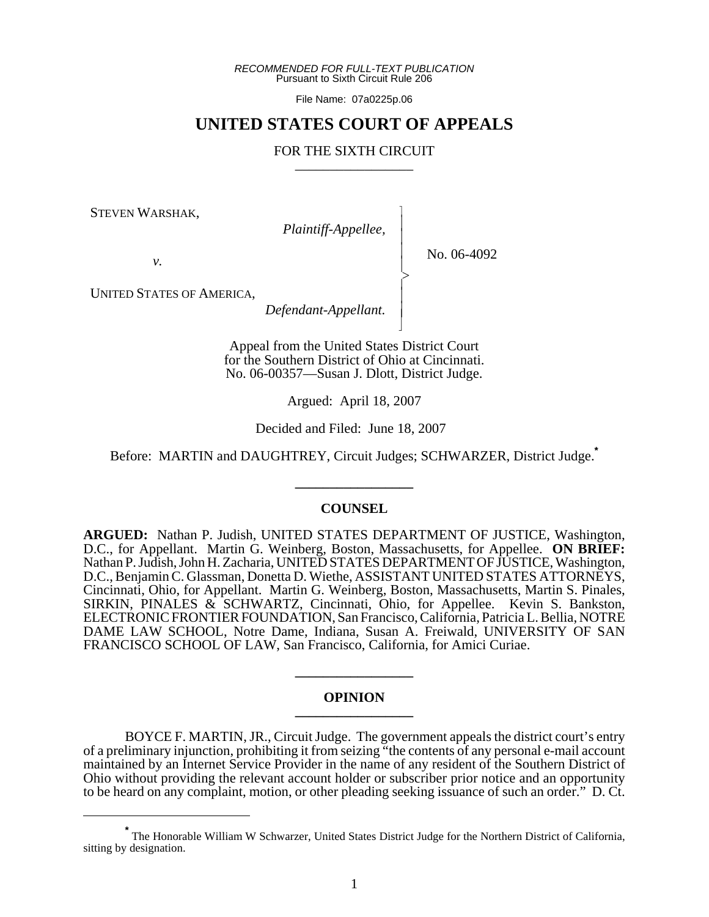*RECOMMENDED FOR FULL-TEXT PUBLICATION* Pursuant to Sixth Circuit Rule 206

File Name: 07a0225p.06

# **UNITED STATES COURT OF APPEALS**

# FOR THE SIXTH CIRCUIT

 $\overline{\phantom{a}}$ - - - -  $\succ$ |<br>|<br>| - - N

STEVEN WARSHAK,

*Plaintiff-Appellee,*

No. 06-4092

*v.*

UNITED STATES OF AMERICA,

*Defendant-Appellant.*

Appeal from the United States District Court for the Southern District of Ohio at Cincinnati. No. 06-00357—Susan J. Dlott, District Judge.

Argued: April 18, 2007

Decided and Filed: June 18, 2007

Before: MARTIN and DAUGHTREY, Circuit Judges; SCHWARZER, District Judge.**\***

**\_\_\_\_\_\_\_\_\_\_\_\_\_\_\_\_\_**

### **COUNSEL**

**ARGUED:** Nathan P. Judish, UNITED STATES DEPARTMENT OF JUSTICE, Washington, D.C., for Appellant. Martin G. Weinberg, Boston, Massachusetts, for Appellee. **ON BRIEF:** Nathan P. Judish, John H. Zacharia, UNITED STATES DEPARTMENT OF JUSTICE, Washington, D.C., Benjamin C. Glassman, Donetta D. Wiethe, ASSISTANT UNITED STATES ATTORNEYS, Cincinnati, Ohio, for Appellant. Martin G. Weinberg, Boston, Massachusetts, Martin S. Pinales, SIRKIN, PINALES & SCHWARTZ, Cincinnati, Ohio, for Appellee. Kevin S. Bankston, ELECTRONIC FRONTIER FOUNDATION, San Francisco, California, Patricia L. Bellia, NOTRE DAME LAW SCHOOL, Notre Dame, Indiana, Susan A. Freiwald, UNIVERSITY OF SAN FRANCISCO SCHOOL OF LAW, San Francisco, California, for Amici Curiae.

#### **OPINION \_\_\_\_\_\_\_\_\_\_\_\_\_\_\_\_\_**

**\_\_\_\_\_\_\_\_\_\_\_\_\_\_\_\_\_**

BOYCE F. MARTIN, JR., Circuit Judge. The government appeals the district court's entry of a preliminary injunction, prohibiting it from seizing "the contents of any personal e-mail account maintained by an Internet Service Provider in the name of any resident of the Southern District of Ohio without providing the relevant account holder or subscriber prior notice and an opportunity to be heard on any complaint, motion, or other pleading seeking issuance of such an order." D. Ct.

**<sup>\*</sup>** The Honorable William W Schwarzer, United States District Judge for the Northern District of California, sitting by designation.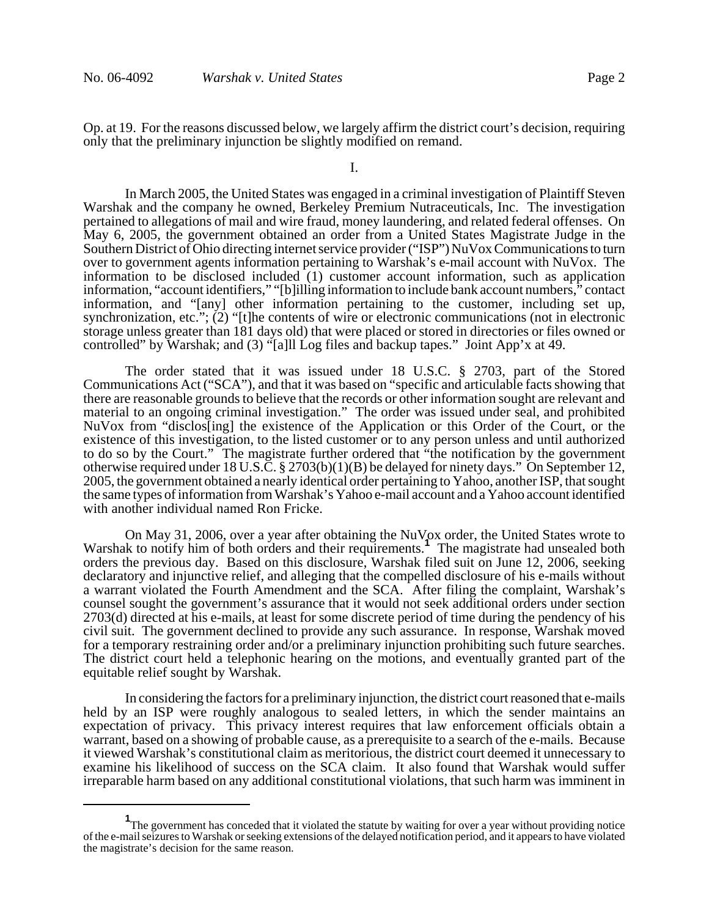Op. at 19. For the reasons discussed below, we largely affirm the district court's decision, requiring only that the preliminary injunction be slightly modified on remand.

I.

In March 2005, the United States was engaged in a criminal investigation of Plaintiff Steven Warshak and the company he owned, Berkeley Premium Nutraceuticals, Inc. The investigation pertained to allegations of mail and wire fraud, money laundering, and related federal offenses. On May 6, 2005, the government obtained an order from a United States Magistrate Judge in the Southern District of Ohio directing internet service provider ("ISP") NuVox Communications to turn over to government agents information pertaining to Warshak's e-mail account with NuVox. The information to be disclosed included (1) customer account information, such as application information, "account identifiers," "[b]illing information to include bank account numbers," contact information, and "[any] other information pertaining to the customer, including set up, synchronization, etc."; (2) "[t]he contents of wire or electronic communications (not in electronic storage unless greater than 181 days old) that were placed or stored in directories or files owned or controlled" by Warshak; and (3) "[a]ll Log files and backup tapes." Joint App'x at 49.

The order stated that it was issued under 18 U.S.C. § 2703, part of the Stored Communications Act ("SCA"), and that it was based on "specific and articulable facts showing that there are reasonable grounds to believe that the records or other information sought are relevant and material to an ongoing criminal investigation." The order was issued under seal, and prohibited NuVox from "disclos[ing] the existence of the Application or this Order of the Court, or the existence of this investigation, to the listed customer or to any person unless and until authorized to do so by the Court." The magistrate further ordered that "the notification by the government otherwise required under 18 U.S.C. § 2703(b)(1)(B) be delayed for ninety days." On September 12, 2005, the government obtained a nearly identical order pertaining to Yahoo, another ISP, that sought the same types of information from Warshak's Yahoo e-mail account and a Yahoo account identified with another individual named Ron Fricke.

On May 31, 2006, over a year after obtaining the NuVox order, the United States wrote to Warshak to notify him of both orders and their requirements.<sup>1</sup> The magistrate had unsealed both orders the previous day. Based on this disclosure, Warshak filed suit on June 12, 2006, seeking declaratory and injunctive relief, and alleging that the compelled disclosure of his e-mails without a warrant violated the Fourth Amendment and the SCA. After filing the complaint, Warshak's counsel sought the government's assurance that it would not seek additional orders under section 2703(d) directed at his e-mails, at least for some discrete period of time during the pendency of his civil suit. The government declined to provide any such assurance. In response, Warshak moved for a temporary restraining order and/or a preliminary injunction prohibiting such future searches. The district court held a telephonic hearing on the motions, and eventually granted part of the equitable relief sought by Warshak.

In considering the factors for a preliminary injunction, the district court reasoned that e-mails held by an ISP were roughly analogous to sealed letters, in which the sender maintains an expectation of privacy. This privacy interest requires that law enforcement officials obtain a warrant, based on a showing of probable cause, as a prerequisite to a search of the e-mails. Because it viewed Warshak's constitutional claim as meritorious, the district court deemed it unnecessary to examine his likelihood of success on the SCA claim. It also found that Warshak would suffer irreparable harm based on any additional constitutional violations, that such harm was imminent in

<sup>&</sup>lt;sup>1</sup>The government has conceded that it violated the statute by waiting for over a year without providing notice of the e-mail seizures to Warshak or seeking extensions of the delayed notification period, and it appears to have violated the magistrate's decision for the same reason.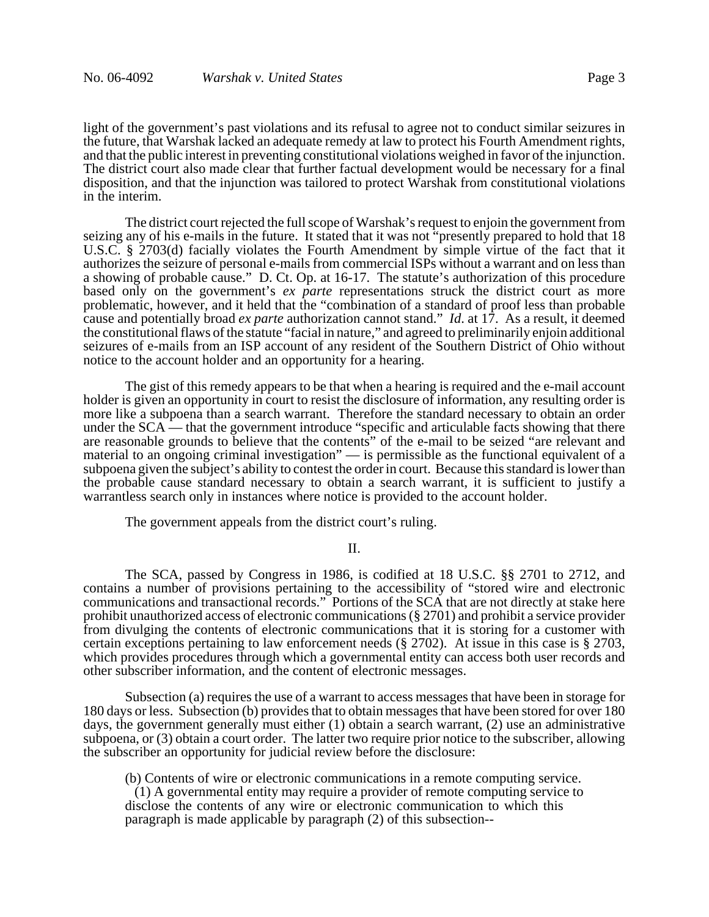light of the government's past violations and its refusal to agree not to conduct similar seizures in the future, that Warshak lacked an adequate remedy at law to protect his Fourth Amendment rights, and that the public interest in preventing constitutional violations weighed in favor of the injunction. The district court also made clear that further factual development would be necessary for a final disposition, and that the injunction was tailored to protect Warshak from constitutional violations in the interim.

The district court rejected the full scope of Warshak's request to enjoin the government from seizing any of his e-mails in the future. It stated that it was not "presently prepared to hold that 18 U.S.C. § 2703(d) facially violates the Fourth Amendment by simple virtue of the fact that it authorizes the seizure of personal e-mails from commercial ISPs without a warrant and on less than a showing of probable cause." D. Ct. Op. at 16-17. The statute's authorization of this procedure based only on the government's *ex parte* representations struck the district court as more problematic, however, and it held that the "combination of a standard of proof less than probable cause and potentially broad *ex parte* authorization cannot stand." *Id*. at 17. As a result, it deemed the constitutional flaws of the statute "facial in nature," and agreed to preliminarily enjoin additional seizures of e-mails from an ISP account of any resident of the Southern District of Ohio without notice to the account holder and an opportunity for a hearing.

The gist of this remedy appears to be that when a hearing is required and the e-mail account holder is given an opportunity in court to resist the disclosure of information, any resulting order is more like a subpoena than a search warrant. Therefore the standard necessary to obtain an order under the SCA — that the government introduce "specific and articulable facts showing that there are reasonable grounds to believe that the contents" of the e-mail to be seized "are relevant and material to an ongoing criminal investigation" — is permissible as the functional equivalent of a subpoena given the subject's ability to contest the order in court. Because this standard is lower than the probable cause standard necessary to obtain a search warrant, it is sufficient to justify a warrantless search only in instances where notice is provided to the account holder.

The government appeals from the district court's ruling.

II.

The SCA, passed by Congress in 1986, is codified at 18 U.S.C. §§ 2701 to 2712, and contains a number of provisions pertaining to the accessibility of "stored wire and electronic communications and transactional records." Portions of the SCA that are not directly at stake here prohibit unauthorized access of electronic communications (§ 2701) and prohibit a service provider from divulging the contents of electronic communications that it is storing for a customer with certain exceptions pertaining to law enforcement needs (§ 2702). At issue in this case is § 2703, which provides procedures through which a governmental entity can access both user records and other subscriber information, and the content of electronic messages.

Subsection (a) requires the use of a warrant to access messages that have been in storage for 180 days or less. Subsection (b) provides that to obtain messages that have been stored for over 180 days, the government generally must either (1) obtain a search warrant, (2) use an administrative subpoena, or (3) obtain a court order. The latter two require prior notice to the subscriber, allowing the subscriber an opportunity for judicial review before the disclosure:

(b) Contents of wire or electronic communications in a remote computing service.

 (1) A governmental entity may require a provider of remote computing service to disclose the contents of any wire or electronic communication to which this paragraph is made applicable by paragraph (2) of this subsection--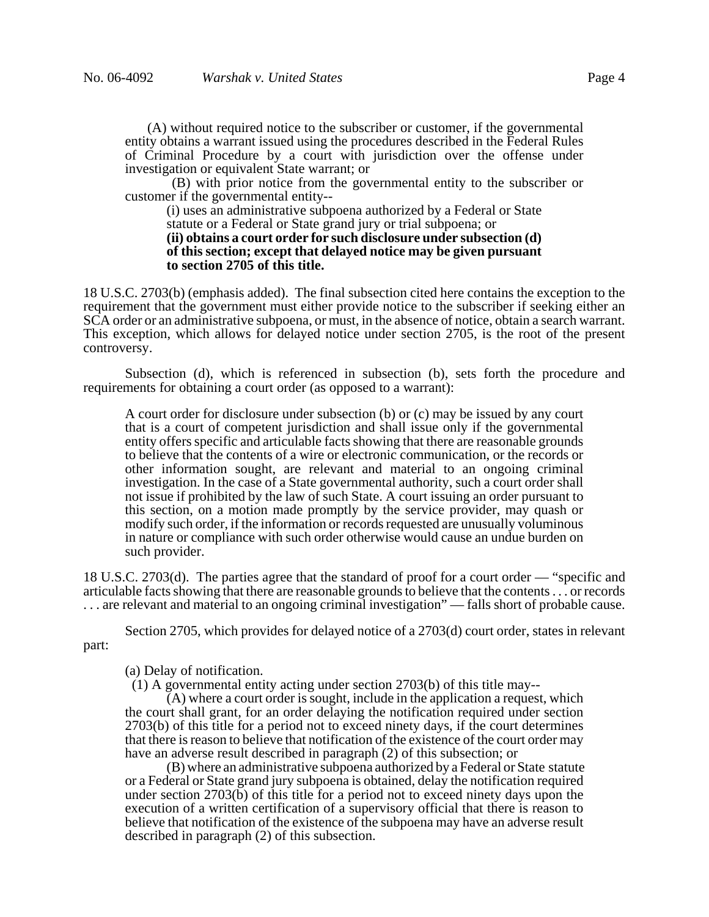(A) without required notice to the subscriber or customer, if the governmental entity obtains a warrant issued using the procedures described in the Federal Rules of Criminal Procedure by a court with jurisdiction over the offense under investigation or equivalent State warrant; or

 (B) with prior notice from the governmental entity to the subscriber or customer if the governmental entity--

(i) uses an administrative subpoena authorized by a Federal or State statute or a Federal or State grand jury or trial subpoena; or

**(ii) obtains a court order for such disclosure under subsection (d) of this section; except that delayed notice may be given pursuant to section 2705 of this title.**

18 U.S.C. 2703(b) (emphasis added). The final subsection cited here contains the exception to the requirement that the government must either provide notice to the subscriber if seeking either an SCA order or an administrative subpoena, or must, in the absence of notice, obtain a search warrant. This exception, which allows for delayed notice under section 2705, is the root of the present controversy.

Subsection (d), which is referenced in subsection (b), sets forth the procedure and requirements for obtaining a court order (as opposed to a warrant):

A court order for disclosure under subsection (b) or (c) may be issued by any court that is a court of competent jurisdiction and shall issue only if the governmental entity offers specific and articulable facts showing that there are reasonable grounds to believe that the contents of a wire or electronic communication, or the records or other information sought, are relevant and material to an ongoing criminal investigation. In the case of a State governmental authority, such a court order shall not issue if prohibited by the law of such State. A court issuing an order pursuant to this section, on a motion made promptly by the service provider, may quash or modify such order, if the information or records requested are unusually voluminous in nature or compliance with such order otherwise would cause an undue burden on such provider.

18 U.S.C. 2703(d). The parties agree that the standard of proof for a court order — "specific and articulable facts showing that there are reasonable grounds to believe that the contents . . . or records . . . are relevant and material to an ongoing criminal investigation" — falls short of probable cause.

Section 2705, which provides for delayed notice of a 2703(d) court order, states in relevant part:

(a) Delay of notification.

(1) A governmental entity acting under section 2703(b) of this title may--

(A) where a court order is sought, include in the application a request, which the court shall grant, for an order delaying the notification required under section 2703(b) of this title for a period not to exceed ninety days, if the court determines that there is reason to believe that notification of the existence of the court order may have an adverse result described in paragraph (2) of this subsection; or

 (B) where an administrative subpoena authorized by a Federal or State statute or a Federal or State grand jury subpoena is obtained, delay the notification required under section 2703(b) of this title for a period not to exceed ninety days upon the execution of a written certification of a supervisory official that there is reason to believe that notification of the existence of the subpoena may have an adverse result described in paragraph (2) of this subsection.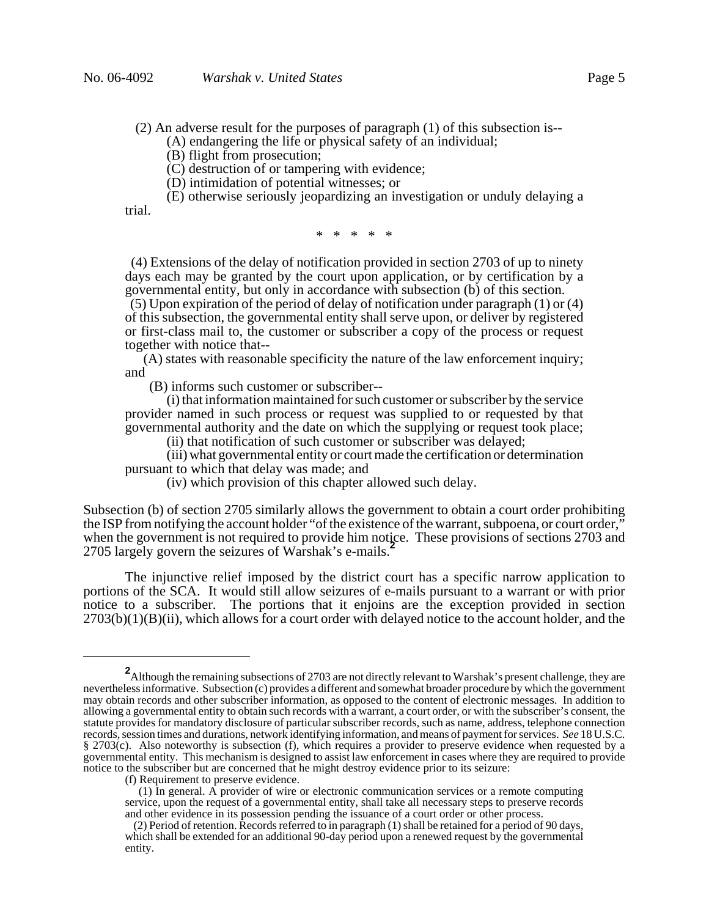(2) An adverse result for the purposes of paragraph (1) of this subsection is--

(A) endangering the life or physical safety of an individual;

(B) flight from prosecution;

(C) destruction of or tampering with evidence;

(D) intimidation of potential witnesses; or

(E) otherwise seriously jeopardizing an investigation or unduly delaying a trial.

\* \* \* \* \*

 (4) Extensions of the delay of notification provided in section 2703 of up to ninety days each may be granted by the court upon application, or by certification by a governmental entity, but only in accordance with subsection (b) of this section.

 (5) Upon expiration of the period of delay of notification under paragraph (1) or (4) of this subsection, the governmental entity shall serve upon, or deliver by registered or first-class mail to, the customer or subscriber a copy of the process or request together with notice that--

 (A) states with reasonable specificity the nature of the law enforcement inquiry; and

(B) informs such customer or subscriber--

(i) that information maintained for such customer or subscriber by the service provider named in such process or request was supplied to or requested by that governmental authority and the date on which the supplying or request took place;

(ii) that notification of such customer or subscriber was delayed;

(iii) what governmental entity or court made the certification or determination pursuant to which that delay was made; and

(iv) which provision of this chapter allowed such delay.

Subsection (b) of section 2705 similarly allows the government to obtain a court order prohibiting the ISP from notifying the account holder "of the existence of the warrant, subpoena, or court order," when the government is not required to provide him notice. These provisions of sections 2703 and 2705 largely govern the seizures of Warshak's e-mails.**<sup>2</sup>**

The injunctive relief imposed by the district court has a specific narrow application to portions of the SCA. It would still allow seizures of e-mails pursuant to a warrant or with prior notice to a subscriber. The portions that it enjoins are the exception provided in section  $2703(b)(1)(B)(ii)$ , which allows for a court order with delayed notice to the account holder, and the

<sup>2&</sup>lt;br>Although the remaining subsections of 2703 are not directly relevant to Warshak's present challenge, they are nevertheless informative. Subsection (c) provides a different and somewhat broader procedure by which the government may obtain records and other subscriber information, as opposed to the content of electronic messages. In addition to allowing a governmental entity to obtain such records with a warrant, a court order, or with the subscriber's consent, the statute provides for mandatory disclosure of particular subscriber records, such as name, address, telephone connection records, session times and durations, network identifying information, and means of payment for services. *See* 18 U.S.C. § 2703(c). Also noteworthy is subsection (f), which requires a provider to preserve evidence when requested by a governmental entity. This mechanism is designed to assist law enforcement in cases where they are required to provide notice to the subscriber but are concerned that he might destroy evidence prior to its seizure:

<sup>(</sup>f) Requirement to preserve evidence.

 <sup>(1)</sup> In general. A provider of wire or electronic communication services or a remote computing service, upon the request of a governmental entity, shall take all necessary steps to preserve records and other evidence in its possession pending the issuance of a court order or other process.

 <sup>(2)</sup> Period of retention. Records referred to in paragraph (1) shall be retained for a period of 90 days, which shall be extended for an additional 90-day period upon a renewed request by the governmental entity.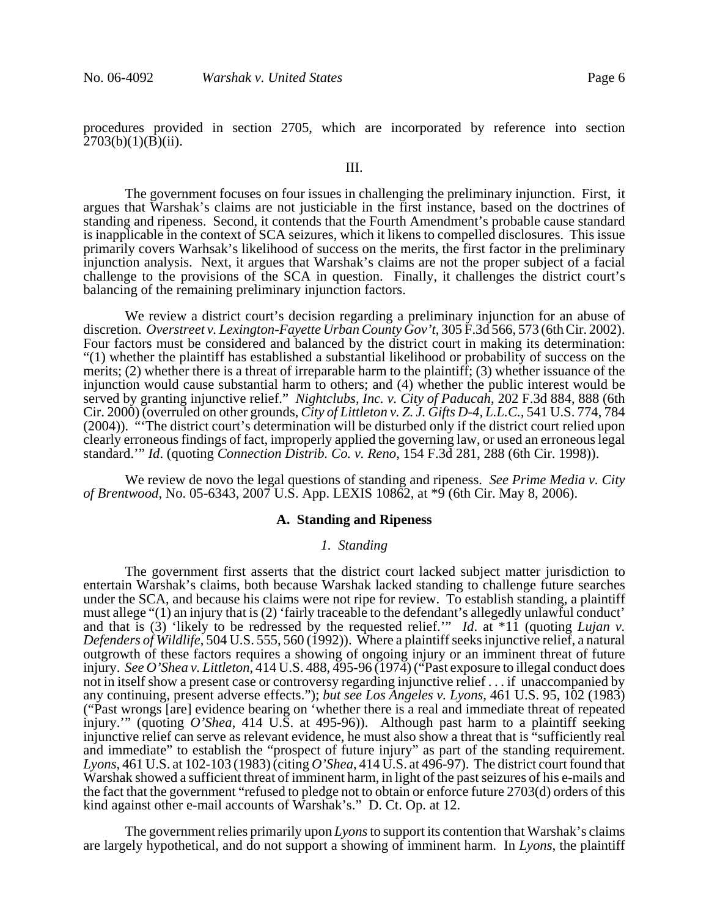procedures provided in section 2705, which are incorporated by reference into section  $2703(b)(1)(B)(ii)$ .

III.

The government focuses on four issues in challenging the preliminary injunction. First, it argues that Warshak's claims are not justiciable in the first instance, based on the doctrines of standing and ripeness. Second, it contends that the Fourth Amendment's probable cause standard is inapplicable in the context of SCA seizures, which it likens to compelled disclosures. This issue primarily covers Warhsak's likelihood of success on the merits, the first factor in the preliminary injunction analysis. Next, it argues that Warshak's claims are not the proper subject of a facial challenge to the provisions of the SCA in question. Finally, it challenges the district court's balancing of the remaining preliminary injunction factors.

We review a district court's decision regarding a preliminary injunction for an abuse of discretion. *Overstreet v. Lexington-Fayette Urban County Gov't*, 305 F.3d 566, 573 (6th Cir. 2002). Four factors must be considered and balanced by the district court in making its determination: "(1) whether the plaintiff has established a substantial likelihood or probability of success on the merits; (2) whether there is a threat of irreparable harm to the plaintiff; (3) whether issuance of the injunction would cause substantial harm to others; and (4) whether the public interest would be served by granting injunctive relief." *Nightclubs, Inc. v. City of Paducah*, 202 F.3d 884, 888 (6th Cir. 2000) (overruled on other grounds, *City of Littleton v. Z. J. Gifts D-4, L.L.C.,* 541 U.S. 774, 784 (2004)). "'The district court's determination will be disturbed only if the district court relied upon clearly erroneous findings of fact, improperly applied the governing law, or used an erroneous legal standard.'" *Id*. (quoting *Connection Distrib. Co. v. Reno*, 154 F.3d 281, 288 (6th Cir. 1998)).

We review de novo the legal questions of standing and ripeness. *See Prime Media v. City of Brentwood*, No. 05-6343, 2007 U.S. App. LEXIS 10862, at \*9 (6th Cir. May 8, 2006).

#### **A. Standing and Ripeness**

### *1. Standing*

The government first asserts that the district court lacked subject matter jurisdiction to entertain Warshak's claims, both because Warshak lacked standing to challenge future searches under the SCA, and because his claims were not ripe for review. To establish standing, a plaintiff must allege "(1) an injury that is (2) 'fairly traceable to the defendant's allegedly unlawful conduct' and that is (3) 'likely to be redressed by the requested relief.'" *Id*. at \*11 (quoting *Lujan v. Defenders of Wildlife*, 504 U.S. 555, 560 (1992)). Where a plaintiff seeks injunctive relief, a natural outgrowth of these factors requires a showing of ongoing injury or an imminent threat of future injury. *See O'Shea v. Littleton*, 414 U.S. 488, 495-96 (1974) ("Past exposure to illegal conduct does not in itself show a present case or controversy regarding injunctive relief . . . if unaccompanied by any continuing, present adverse effects."); *but see Los Angeles v. Lyons*, 461 U.S. 95, 102 (1983) ("Past wrongs [are] evidence bearing on 'whether there is a real and immediate threat of repeated injury.'" (quoting *O'Shea*, 414 U.S. at 495-96)). Although past harm to a plaintiff seeking injunctive relief can serve as relevant evidence, he must also show a threat that is "sufficiently real and immediate" to establish the "prospect of future injury" as part of the standing requirement. *Lyons*, 461 U.S. at 102-103 (1983) (citing *O'Shea*, 414 U.S. at 496-97). The district court found that Warshak showed a sufficient threat of imminent harm, in light of the past seizures of his e-mails and the fact that the government "refused to pledge not to obtain or enforce future 2703(d) orders of this kind against other e-mail accounts of Warshak's." D. Ct. Op. at 12.

The government relies primarily upon *Lyons* to support its contention that Warshak's claims are largely hypothetical, and do not support a showing of imminent harm. In *Lyons*, the plaintiff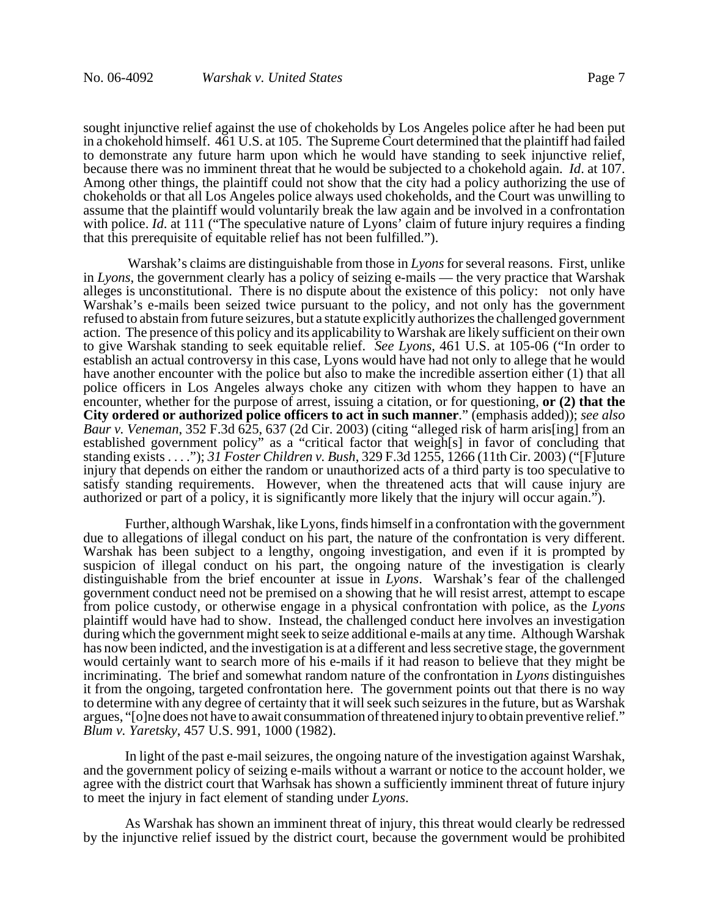sought injunctive relief against the use of chokeholds by Los Angeles police after he had been put in a chokehold himself. 461 U.S. at 105. The Supreme Court determined that the plaintiff had failed to demonstrate any future harm upon which he would have standing to seek injunctive relief, because there was no imminent threat that he would be subjected to a chokehold again. *Id*. at 107. Among other things, the plaintiff could not show that the city had a policy authorizing the use of chokeholds or that all Los Angeles police always used chokeholds, and the Court was unwilling to assume that the plaintiff would voluntarily break the law again and be involved in a confrontation with police. *Id.* at 111 ("The speculative nature of Lyons' claim of future injury requires a finding that this prerequisite of equitable relief has not been fulfilled.").

 Warshak's claims are distinguishable from those in *Lyons* for several reasons. First, unlike in *Lyons*, the government clearly has a policy of seizing e-mails — the very practice that Warshak alleges is unconstitutional. There is no dispute about the existence of this policy: not only have Warshak's e-mails been seized twice pursuant to the policy, and not only has the government refused to abstain from future seizures, but a statute explicitly authorizes the challenged government action. The presence of this policy and its applicability to Warshak are likely sufficient on their own to give Warshak standing to seek equitable relief. *See Lyons*, 461 U.S. at 105-06 ("In order to establish an actual controversy in this case, Lyons would have had not only to allege that he would have another encounter with the police but also to make the incredible assertion either (1) that all police officers in Los Angeles always choke any citizen with whom they happen to have an encounter, whether for the purpose of arrest, issuing a citation, or for questioning, **or (2) that the City ordered or authorized police officers to act in such manner**." (emphasis added)); *see also Baur v. Veneman,* 352 F.3d 625, 637 (2d Cir. 2003) (citing "alleged risk of harm aris[ing] from an established government policy" as a "critical factor that weigh[s] in favor of concluding that standing exists . . . ."); *31 Foster Children v. Bush*, 329 F.3d 1255, 1266 (11th Cir. 2003) ("[F]uture injury that depends on either the random or unauthorized acts of a third party is too speculative to satisfy standing requirements. However, when the threatened acts that will cause injury are authorized or part of a policy, it is significantly more likely that the injury will occur again.").

Further, although Warshak, like Lyons, finds himself in a confrontation with the government due to allegations of illegal conduct on his part, the nature of the confrontation is very different. Warshak has been subject to a lengthy, ongoing investigation, and even if it is prompted by suspicion of illegal conduct on his part, the ongoing nature of the investigation is clearly distinguishable from the brief encounter at issue in *Lyons*. Warshak's fear of the challenged government conduct need not be premised on a showing that he will resist arrest, attempt to escape from police custody, or otherwise engage in a physical confrontation with police, as the *Lyons* plaintiff would have had to show.Instead, the challenged conduct here involves an investigation during which the government might seek to seize additional e-mails at any time. Although Warshak has now been indicted, and the investigation is at a different and less secretive stage, the government would certainly want to search more of his e-mails if it had reason to believe that they might be incriminating. The brief and somewhat random nature of the confrontation in *Lyons* distinguishes it from the ongoing, targeted confrontation here. The government points out that there is no way to determine with any degree of certainty that it will seek such seizures in the future, but as Warshak argues, "[o]ne does not have to await consummation of threatened injury to obtain preventive relief." *Blum v. Yaretsky*, 457 U.S. 991, 1000 (1982).

In light of the past e-mail seizures, the ongoing nature of the investigation against Warshak, and the government policy of seizing e-mails without a warrant or notice to the account holder, we agree with the district court that Warhsak has shown a sufficiently imminent threat of future injury to meet the injury in fact element of standing under *Lyons*.

As Warshak has shown an imminent threat of injury, this threat would clearly be redressed by the injunctive relief issued by the district court, because the government would be prohibited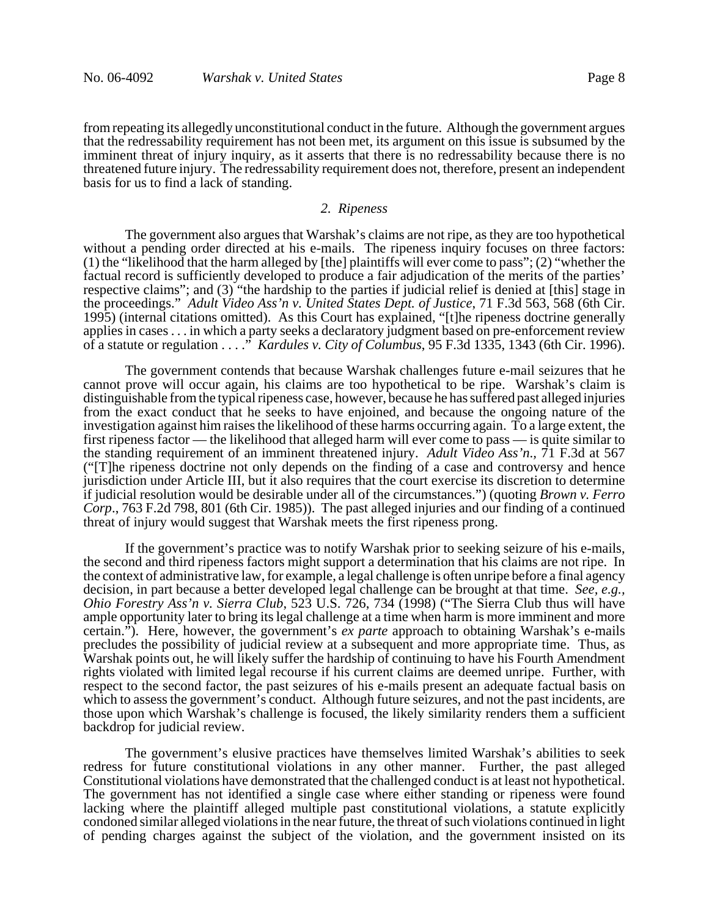from repeating its allegedly unconstitutional conduct in the future. Although the government argues that the redressability requirement has not been met, its argument on this issue is subsumed by the imminent threat of injury inquiry, as it asserts that there is no redressability because there is no threatened future injury. The redressability requirement does not, therefore, present an independent basis for us to find a lack of standing.

# *2. Ripeness*

The government also argues that Warshak's claims are not ripe, as they are too hypothetical without a pending order directed at his e-mails. The ripeness inquiry focuses on three factors: (1) the "likelihood that the harm alleged by [the] plaintiffs will ever come to pass"; (2) "whether the factual record is sufficiently developed to produce a fair adjudication of the merits of the parties' respective claims"; and (3) "the hardship to the parties if judicial relief is denied at [this] stage in the proceedings." *Adult Video Ass'n v. United States Dept. of Justice*, 71 F.3d 563, 568 (6th Cir. 1995) (internal citations omitted). As this Court has explained, "[t]he ripeness doctrine generally applies in cases . . . in which a party seeks a declaratory judgment based on pre-enforcement review of a statute or regulation . . . ." *Kardules v. City of Columbus*, 95 F.3d 1335, 1343 (6th Cir. 1996).

The government contends that because Warshak challenges future e-mail seizures that he cannot prove will occur again, his claims are too hypothetical to be ripe. Warshak's claim is distinguishable from the typical ripeness case, however, because he has suffered past alleged injuries from the exact conduct that he seeks to have enjoined, and because the ongoing nature of the investigation against him raises the likelihood of these harms occurring again. To a large extent, the first ripeness factor — the likelihood that alleged harm will ever come to pass — is quite similar to the standing requirement of an imminent threatened injury. *Adult Video Ass'n*.*,* 71 F.3d at 567 ("[T]he ripeness doctrine not only depends on the finding of a case and controversy and hence jurisdiction under Article III, but it also requires that the court exercise its discretion to determine if judicial resolution would be desirable under all of the circumstances.") (quoting *Brown v. Ferro Corp*., 763 F.2d 798, 801 (6th Cir. 1985)). The past alleged injuries and our finding of a continued threat of injury would suggest that Warshak meets the first ripeness prong.

If the government's practice was to notify Warshak prior to seeking seizure of his e-mails, the second and third ripeness factors might support a determination that his claims are not ripe. In the context of administrative law, for example, a legal challenge is often unripe before a final agency decision, in part because a better developed legal challenge can be brought at that time. *See, e.g., Ohio Forestry Ass'n v. Sierra Club*, 523 U.S. 726, 734 (1998) ("The Sierra Club thus will have ample opportunity later to bring its legal challenge at a time when harm is more imminent and more certain."). Here, however, the government's *ex parte* approach to obtaining Warshak's e-mails precludes the possibility of judicial review at a subsequent and more appropriate time. Thus, as Warshak points out, he will likely suffer the hardship of continuing to have his Fourth Amendment rights violated with limited legal recourse if his current claims are deemed unripe. Further, with respect to the second factor, the past seizures of his e-mails present an adequate factual basis on which to assess the government's conduct. Although future seizures, and not the past incidents, are those upon which Warshak's challenge is focused, the likely similarity renders them a sufficient backdrop for judicial review.

The government's elusive practices have themselves limited Warshak's abilities to seek redress for future constitutional violations in any other manner. Further, the past alleged Constitutional violations have demonstrated that the challenged conduct is at least not hypothetical. The government has not identified a single case where either standing or ripeness were found lacking where the plaintiff alleged multiple past constitutional violations, a statute explicitly condoned similar alleged violations in the near future, the threat of such violations continued in light of pending charges against the subject of the violation, and the government insisted on its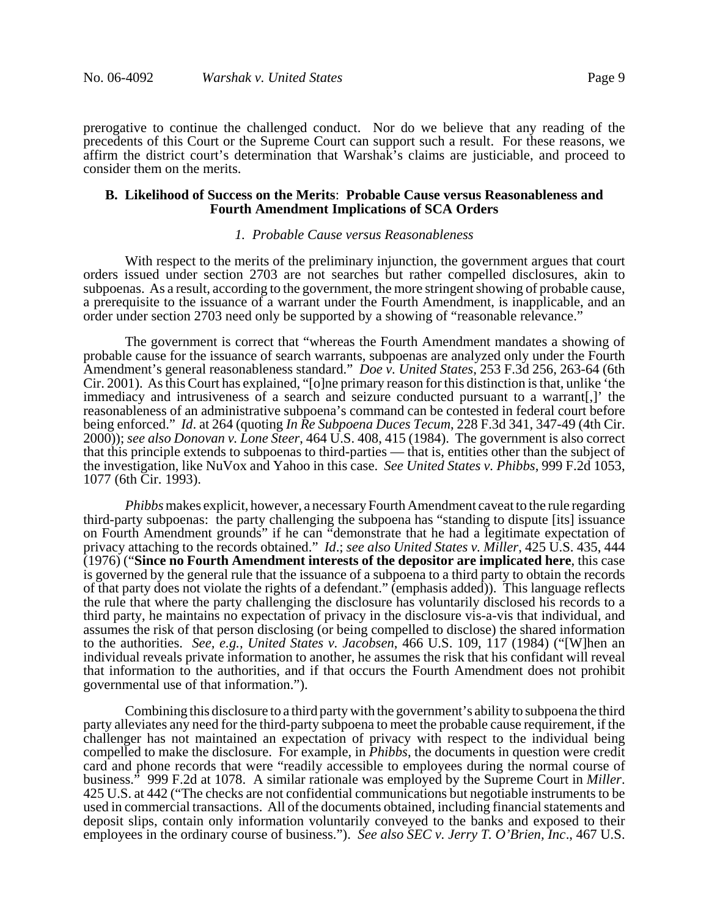prerogative to continue the challenged conduct. Nor do we believe that any reading of the precedents of this Court or the Supreme Court can support such a result. For these reasons, we affirm the district court's determination that Warshak's claims are justiciable, and proceed to consider them on the merits.

### **B. Likelihood of Success on the Merits**: **Probable Cause versus Reasonableness and Fourth Amendment Implications of SCA Orders**

## *1. Probable Cause versus Reasonableness*

With respect to the merits of the preliminary injunction, the government argues that court orders issued under section 2703 are not searches but rather compelled disclosures, akin to subpoenas. As a result, according to the government, the more stringent showing of probable cause, a prerequisite to the issuance of a warrant under the Fourth Amendment, is inapplicable, and an order under section 2703 need only be supported by a showing of "reasonable relevance."

The government is correct that "whereas the Fourth Amendment mandates a showing of probable cause for the issuance of search warrants, subpoenas are analyzed only under the Fourth Amendment's general reasonableness standard." *Doe v. United States*, 253 F.3d 256, 263-64 (6th Cir. 2001). As this Court has explained, "[o]ne primary reason for this distinction is that, unlike 'the immediacy and intrusiveness of a search and seizure conducted pursuant to a warrant[,]' the reasonableness of an administrative subpoena's command can be contested in federal court before being enforced." *Id*. at 264 (quoting *In Re Subpoena Duces Tecum*, 228 F.3d 341, 347-49 (4th Cir. 2000)); *see also Donovan v. Lone Steer*, 464 U.S. 408, 415 (1984). The government is also correct that this principle extends to subpoenas to third-parties — that is, entities other than the subject of the investigation, like NuVox and Yahoo in this case. *See United States v. Phibbs*, 999 F.2d 1053, 1077 (6th Cir. 1993).

*Phibbs* makes explicit, however, a necessary Fourth Amendment caveat to the rule regarding third-party subpoenas: the party challenging the subpoena has "standing to dispute [its] issuance on Fourth Amendment grounds" if he can "demonstrate that he had a legitimate expectation of privacy attaching to the records obtained." *Id*.; *see also United States v. Miller*, 425 U.S. 435, 444 (1976) ("**Since no Fourth Amendment interests of the depositor are implicated here**, this case is governed by the general rule that the issuance of a subpoena to a third party to obtain the records of that party does not violate the rights of a defendant." (emphasis added)). This language reflects the rule that where the party challenging the disclosure has voluntarily disclosed his records to a third party, he maintains no expectation of privacy in the disclosure vis-a-vis that individual, and assumes the risk of that person disclosing (or being compelled to disclose) the shared information to the authorities. *See, e.g., United States v. Jacobsen*, 466 U.S. 109, 117 (1984) ("[W]hen an individual reveals private information to another, he assumes the risk that his confidant will reveal that information to the authorities, and if that occurs the Fourth Amendment does not prohibit governmental use of that information.").

Combining this disclosure to a third party with the government's ability to subpoena the third party alleviates any need for the third-party subpoena to meet the probable cause requirement, if the challenger has not maintained an expectation of privacy with respect to the individual being compelled to make the disclosure. For example, in *Phibbs*, the documents in question were credit card and phone records that were "readily accessible to employees during the normal course of business.<sup>3</sup> 999 F.2d at 1078. A similar rationale was employed by the Supreme Court in *Miller*. 425 U.S. at 442 ("The checks are not confidential communications but negotiable instruments to be used in commercial transactions. All of the documents obtained, including financial statements and deposit slips, contain only information voluntarily conveyed to the banks and exposed to their employees in the ordinary course of business."). *See also SEC v. Jerry T. O'Brien, Inc*., 467 U.S.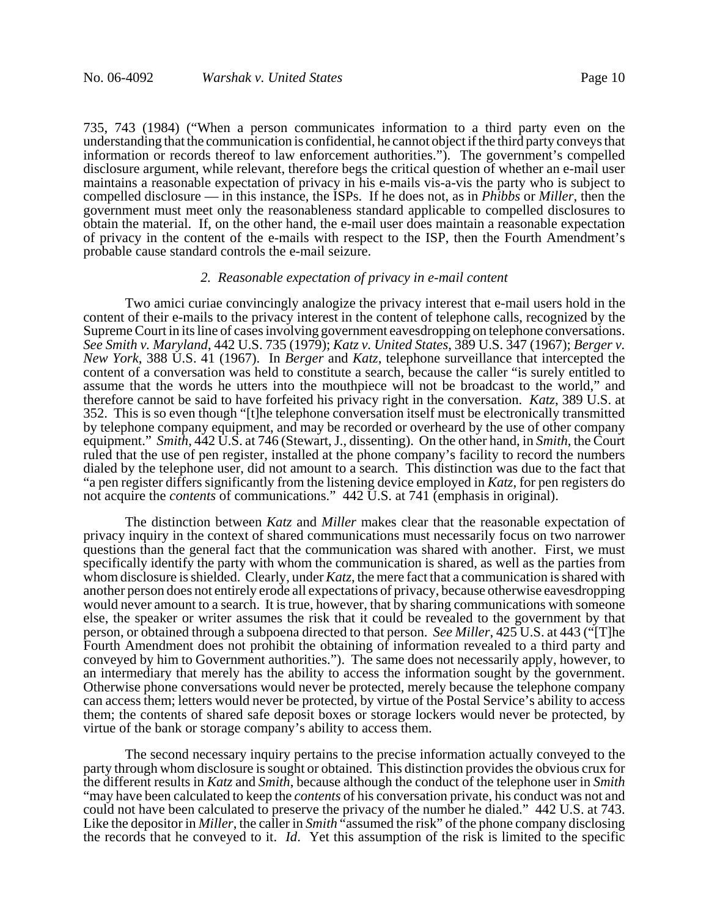735, 743 (1984) ("When a person communicates information to a third party even on the understanding that the communication is confidential, he cannot object if the third party conveys that information or records thereof to law enforcement authorities."). The government's compelled disclosure argument, while relevant, therefore begs the critical question of whether an e-mail user maintains a reasonable expectation of privacy in his e-mails vis-a-vis the party who is subject to compelled disclosure — in this instance, the ISPs. If he does not, as in *Phibbs* or *Miller*, then the government must meet only the reasonableness standard applicable to compelled disclosures to obtain the material. If, on the other hand, the e-mail user does maintain a reasonable expectation of privacy in the content of the e-mails with respect to the ISP, then the Fourth Amendment's probable cause standard controls the e-mail seizure.

#### *2. Reasonable expectation of privacy in e-mail content*

Two amici curiae convincingly analogize the privacy interest that e-mail users hold in the content of their e-mails to the privacy interest in the content of telephone calls, recognized by the Supreme Court in its line of cases involving government eavesdropping on telephone conversations. *See Smith v. Maryland*, 442 U.S. 735 (1979); *Katz v. United States*, 389 U.S. 347 (1967); *Berger v. New York*, 388 U.S. 41 (1967). In *Berger* and *Katz*, telephone surveillance that intercepted the content of a conversation was held to constitute a search, because the caller "is surely entitled to assume that the words he utters into the mouthpiece will not be broadcast to the world," and therefore cannot be said to have forfeited his privacy right in the conversation. *Katz*, 389 U.S. at 352. This is so even though "[t]he telephone conversation itself must be electronically transmitted by telephone company equipment, and may be recorded or overheard by the use of other company equipment." *Smith*, 442 U.S. at 746 (Stewart, J., dissenting). On the other hand, in *Smith*, the Court ruled that the use of pen register, installed at the phone company's facility to record the numbers dialed by the telephone user, did not amount to a search. This distinction was due to the fact that "a pen register differs significantly from the listening device employed in *Katz*, for pen registers do not acquire the *contents* of communications." 442 U.S. at 741 (emphasis in original).

The distinction between *Katz* and *Miller* makes clear that the reasonable expectation of privacy inquiry in the context of shared communications must necessarily focus on two narrower questions than the general fact that the communication was shared with another. First, we must specifically identify the party with whom the communication is shared, as well as the parties from whom disclosure is shielded. Clearly, under *Katz*, the mere fact that a communication is shared with another person does not entirely erode all expectations of privacy, because otherwise eavesdropping would never amount to a search. It is true, however, that by sharing communications with someone else, the speaker or writer assumes the risk that it could be revealed to the government by that person, or obtained through a subpoena directed to that person. *See Miller*, 425 U.S. at 443 ("[T]he Fourth Amendment does not prohibit the obtaining of information revealed to a third party and conveyed by him to Government authorities."). The same does not necessarily apply, however, to an intermediary that merely has the ability to access the information sought by the government. Otherwise phone conversations would never be protected, merely because the telephone company can access them; letters would never be protected, by virtue of the Postal Service's ability to access them; the contents of shared safe deposit boxes or storage lockers would never be protected, by virtue of the bank or storage company's ability to access them.

The second necessary inquiry pertains to the precise information actually conveyed to the party through whom disclosure is sought or obtained. This distinction provides the obvious crux for the different results in *Katz* and *Smith*, because although the conduct of the telephone user in *Smith* "may have been calculated to keep the *contents* of his conversation private, his conduct was not and could not have been calculated to preserve the privacy of the number he dialed." 442 U.S. at 743. Like the depositor in *Miller*, the caller in *Smith* "assumed the risk" of the phone company disclosing the records that he conveyed to it. *Id*. Yet this assumption of the risk is limited to the specific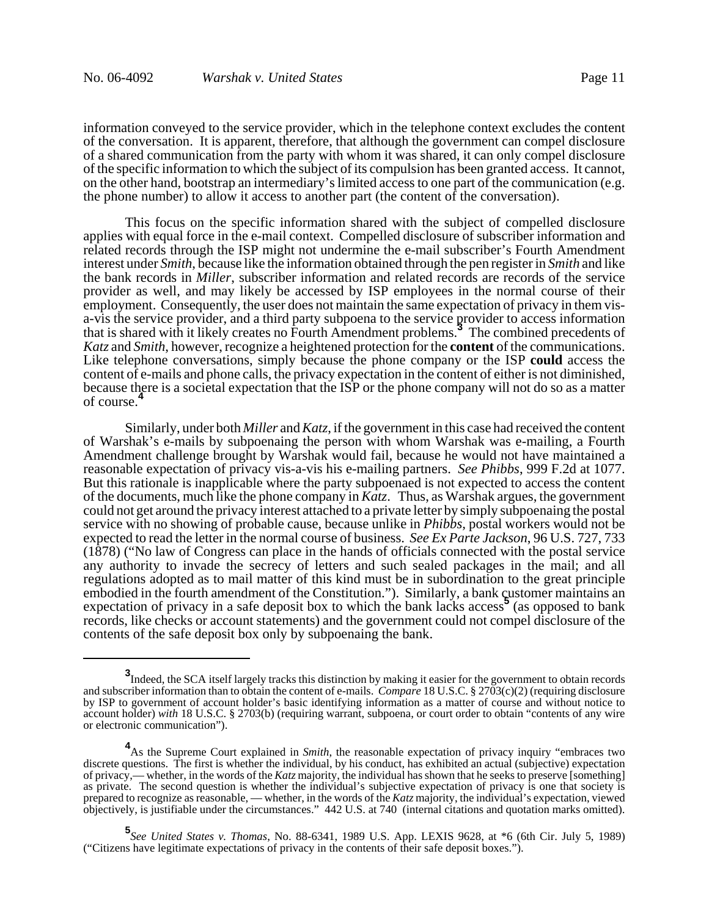information conveyed to the service provider, which in the telephone context excludes the content of the conversation. It is apparent, therefore, that although the government can compel disclosure of a shared communication from the party with whom it was shared, it can only compel disclosure of the specific information to which the subject of its compulsion has been granted access. It cannot, on the other hand, bootstrap an intermediary's limited access to one part of the communication (e.g. the phone number) to allow it access to another part (the content of the conversation).

This focus on the specific information shared with the subject of compelled disclosure applies with equal force in the e-mail context. Compelled disclosure of subscriber information and related records through the ISP might not undermine the e-mail subscriber's Fourth Amendment interest under *Smith*, because like the information obtained through the pen register in *Smith* and like the bank records in *Miller*, subscriber information and related records are records of the service provider as well, and may likely be accessed by ISP employees in the normal course of their employment. Consequently, the user does not maintain the same expectation of privacy in them visa-vis the service provider, and a third party subpoena to the service provider to access information that is shared with it likely creates no Fourth Amendment problems.**<sup>3</sup>** The combined precedents of *Katz* and *Smith*, however, recognize a heightened protection for the **content** of the communications. Like telephone conversations, simply because the phone company or the ISP **could** access the content of e-mails and phone calls, the privacy expectation in the content of either is not diminished, because there is a societal expectation that the ISP or the phone company will not do so as a matter of course.**<sup>4</sup>**

Similarly, under both *Miller* and *Katz*, if the government in this case had received the content of Warshak's e-mails by subpoenaing the person with whom Warshak was e-mailing, a Fourth Amendment challenge brought by Warshak would fail, because he would not have maintained a reasonable expectation of privacy vis-a-vis his e-mailing partners. *See Phibbs*, 999 F.2d at 1077. But this rationale is inapplicable where the party subpoenaed is not expected to access the content of the documents, much like the phone company in *Katz*. Thus, as Warshak argues, the government could not get around the privacy interest attached to a private letter by simply subpoenaing the postal service with no showing of probable cause, because unlike in *Phibbs,* postal workers would not be expected to read the letter in the normal course of business. *See Ex Parte Jackson*, 96 U.S. 727, 733 (1878) ("No law of Congress can place in the hands of officials connected with the postal service any authority to invade the secrecy of letters and such sealed packages in the mail; and all regulations adopted as to mail matter of this kind must be in subordination to the great principle embodied in the fourth amendment of the Constitution."). Similarly, a bank customer maintains an expectation of privacy in a safe deposit box to which the bank lacks access**<sup>5</sup>** (as opposed to bank records, like checks or account statements) and the government could not compel disclosure of the contents of the safe deposit box only by subpoenaing the bank.

**<sup>3</sup>**<br>Indeed, the SCA itself largely tracks this distinction by making it easier for the government to obtain records and subscriber information than to obtain the content of e-mails. *Compare* 18 U.S.C. § 2703(c)(2) (requiring disclosure by ISP to government of account holder's basic identifying information as a matter of course and without notice to account holder) *with* 18 U.S.C. § 2703(b) (requiring warrant, subpoena, or court order to obtain "contents of any wire or electronic communication").

**<sup>4</sup>** As the Supreme Court explained in *Smith*, the reasonable expectation of privacy inquiry "embraces two discrete questions. The first is whether the individual, by his conduct, has exhibited an actual (subjective) expectation of privacy,— whether, in the words of the *Katz* majority, the individual has shown that he seeks to preserve [something] as private. The second question is whether the individual's subjective expectation of privacy is one that society is prepared to recognize as reasonable, — whether, in the words of the *Katz* majority, the individual's expectation, viewed objectively, is justifiable under the circumstances." 442 U.S. at 740 (internal citations and quotation marks omitted).

**<sup>5</sup>** *See United States v. Thomas*, No. 88-6341, 1989 U.S. App. LEXIS 9628, at \*6 (6th Cir. July 5, 1989) ("Citizens have legitimate expectations of privacy in the contents of their safe deposit boxes.").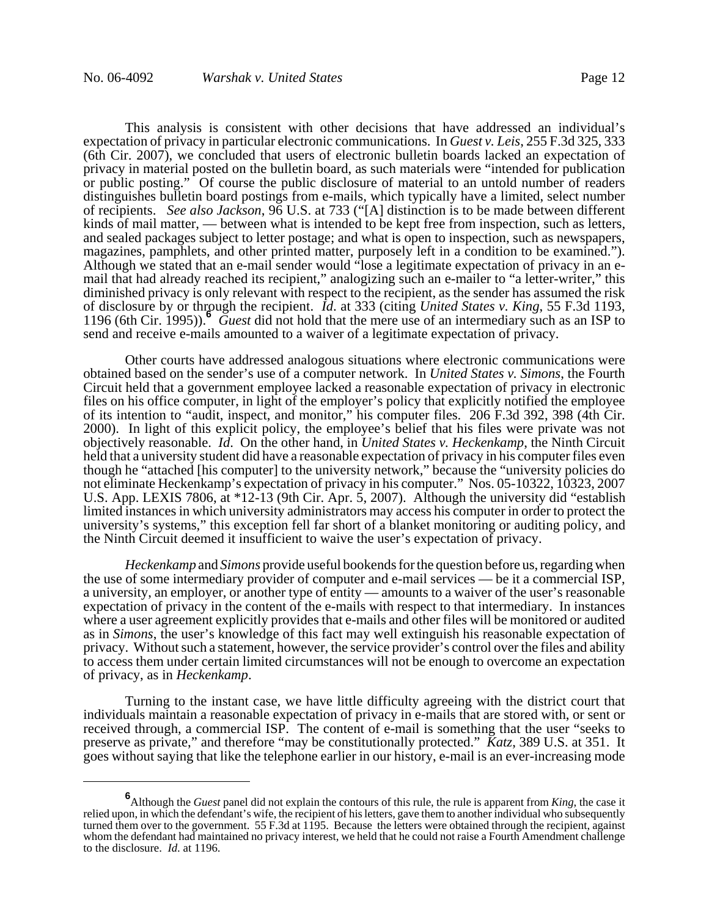This analysis is consistent with other decisions that have addressed an individual's expectation of privacy in particular electronic communications. In *Guest v. Leis*, 255 F.3d 325, 333 (6th Cir. 2007), we concluded that users of electronic bulletin boards lacked an expectation of privacy in material posted on the bulletin board, as such materials were "intended for publication or public posting." Of course the public disclosure of material to an untold number of readers distinguishes bulletin board postings from e-mails, which typically have a limited, select number of recipients. *See also Jackson*, 96 U.S. at 733 ("[A] distinction is to be made between different kinds of mail matter, — between what is intended to be kept free from inspection, such as letters, and sealed packages subject to letter postage; and what is open to inspection, such as newspapers, magazines, pamphlets, and other printed matter, purposely left in a condition to be examined."). Although we stated that an e-mail sender would "lose a legitimate expectation of privacy in an email that had already reached its recipient," analogizing such an e-mailer to "a letter-writer," this diminished privacy is only relevant with respect to the recipient, as the sender has assumed the risk of disclosure by or through the recipient. *Id*. at 333 (citing *United States v. King*, 55 F.3d 1193, 1196 (6th Cir. 1995)).**<sup>6</sup>** *Guest* did not hold that the mere use of an intermediary such as an ISP to send and receive e-mails amounted to a waiver of a legitimate expectation of privacy.

Other courts have addressed analogous situations where electronic communications were obtained based on the sender's use of a computer network. In *United States v. Simons*, the Fourth Circuit held that a government employee lacked a reasonable expectation of privacy in electronic files on his office computer, in light of the employer's policy that explicitly notified the employee of its intention to "audit, inspect, and monitor," his computer files. 206 F.3d 392, 398 (4th Cir. 2000). In light of this explicit policy, the employee's belief that his files were private was not objectively reasonable. *Id*. On the other hand, in *United States v. Heckenkamp*, the Ninth Circuit held that a university student did have a reasonable expectation of privacy in his computer files even though he "attached [his computer] to the university network," because the "university policies do not eliminate Heckenkamp's expectation of privacy in his computer." Nos. 05-10322, 10323, 2007 U.S. App. LEXIS 7806, at \*12-13 (9th Cir. Apr. 5, 2007). Although the university did "establish limited instances in which university administrators may access his computer in order to protect the university's systems," this exception fell far short of a blanket monitoring or auditing policy, and the Ninth Circuit deemed it insufficient to waive the user's expectation of privacy.

*Heckenkamp* and *Simons* provide useful bookends for the question before us, regarding when the use of some intermediary provider of computer and e-mail services — be it a commercial ISP, a university, an employer, or another type of entity — amounts to a waiver of the user's reasonable expectation of privacy in the content of the e-mails with respect to that intermediary. In instances where a user agreement explicitly provides that e-mails and other files will be monitored or audited as in *Simons*, the user's knowledge of this fact may well extinguish his reasonable expectation of privacy. Without such a statement, however, the service provider's control over the files and ability to access them under certain limited circumstances will not be enough to overcome an expectation of privacy, as in *Heckenkamp*.

Turning to the instant case, we have little difficulty agreeing with the district court that individuals maintain a reasonable expectation of privacy in e-mails that are stored with, or sent or received through, a commercial ISP. The content of e-mail is something that the user "seeks to preserve as private," and therefore "may be constitutionally protected." *Katz*, 389 U.S. at 351. It goes without saying that like the telephone earlier in our history, e-mail is an ever-increasing mode

**<sup>6</sup>** Although the *Guest* panel did not explain the contours of this rule, the rule is apparent from *King*, the case it relied upon, in which the defendant's wife, the recipient of his letters, gave them to another individual who subsequently turned them over to the government. 55 F.3d at 1195. Because the letters were obtained through the recipient, against whom the defendant had maintained no privacy interest, we held that he could not raise a Fourth Amendment challenge to the disclosure. *Id*. at 1196.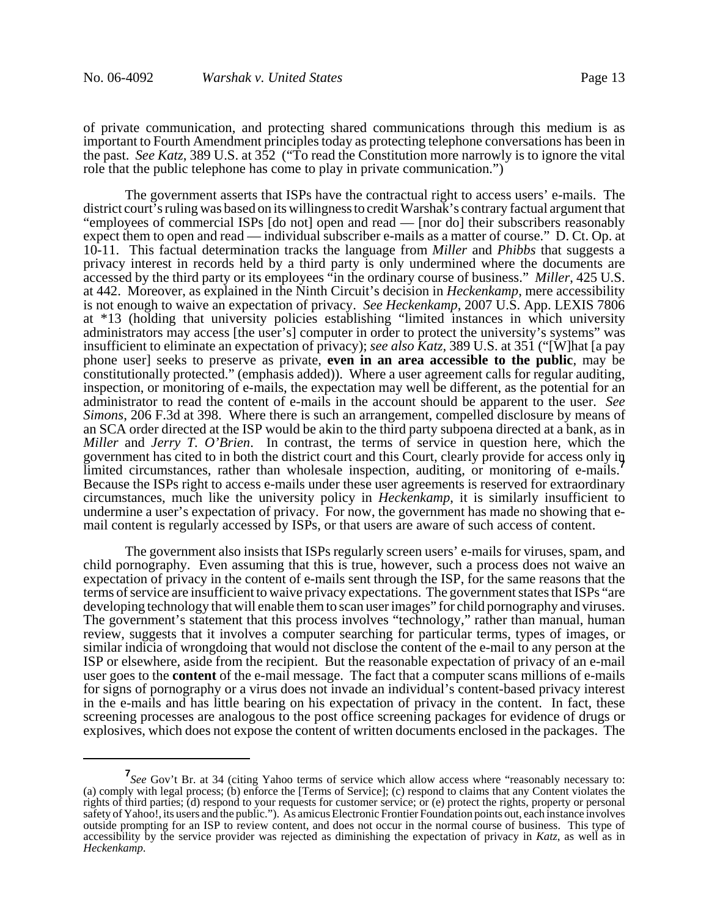of private communication, and protecting shared communications through this medium is as important to Fourth Amendment principles today as protecting telephone conversations has been in the past. *See Katz*, 389 U.S. at 352 ("To read the Constitution more narrowly is to ignore the vital role that the public telephone has come to play in private communication.")

The government asserts that ISPs have the contractual right to access users' e-mails. The district court's ruling was based on its willingness to credit Warshak's contrary factual argument that "employees of commercial ISPs [do not] open and read — [nor do] their subscribers reasonably expect them to open and read — individual subscriber e-mails as a matter of course." D. Ct. Op. at 10-11. This factual determination tracks the language from *Miller* and *Phibbs* that suggests a privacy interest in records held by a third party is only undermined where the documents are accessed by the third party or its employees "in the ordinary course of business." *Miller*, 425 U.S. at 442. Moreover, as explained in the Ninth Circuit's decision in *Heckenkamp*, mere accessibility is not enough to waive an expectation of privacy. *See Heckenkamp*, 2007 U.S. App. LEXIS 7806 at \*13 (holding that university policies establishing "limited instances in which university administrators may access [the user's] computer in order to protect the university's systems" was insufficient to eliminate an expectation of privacy); *see also Katz*, 389 U.S. at 351 ("[W]hat [a pay phone user] seeks to preserve as private, **even in an area accessible to the public**, may be constitutionally protected." (emphasis added)). Where a user agreement calls for regular auditing, inspection, or monitoring of e-mails, the expectation may well be different, as the potential for an administrator to read the content of e-mails in the account should be apparent to the user. *See Simons*, 206 F.3d at 398. Where there is such an arrangement, compelled disclosure by means of an SCA order directed at the ISP would be akin to the third party subpoena directed at a bank, as in *Miller* and *Jerry T. O'Brien*. In contrast, the terms of service in question here, which the government has cited to in both the district court and this Court, clearly provide for access only in limited circumstances, rather than wholesale inspection, auditing, or monitoring of e-mails.<sup>*t*</sup> Because the ISPs right to access e-mails under these user agreements is reserved for extraordinary circumstances, much like the university policy in *Heckenkamp*, it is similarly insufficient to undermine a user's expectation of privacy. For now, the government has made no showing that email content is regularly accessed by ISPs, or that users are aware of such access of content.

The government also insists that ISPs regularly screen users' e-mails for viruses, spam, and child pornography. Even assuming that this is true, however, such a process does not waive an expectation of privacy in the content of e-mails sent through the ISP, for the same reasons that the terms of service are insufficient to waive privacy expectations. The government states that ISPs "are developing technology that will enable them to scan user images" for child pornography and viruses. The government's statement that this process involves "technology," rather than manual, human review, suggests that it involves a computer searching for particular terms, types of images, or similar indicia of wrongdoing that would not disclose the content of the e-mail to any person at the ISP or elsewhere, aside from the recipient. But the reasonable expectation of privacy of an e-mail user goes to the **content** of the e-mail message. The fact that a computer scans millions of e-mails for signs of pornography or a virus does not invade an individual's content-based privacy interest in the e-mails and has little bearing on his expectation of privacy in the content. In fact, these screening processes are analogous to the post office screening packages for evidence of drugs or explosives, which does not expose the content of written documents enclosed in the packages. The

**<sup>7</sup>** *See* Gov't Br. at 34 (citing Yahoo terms of service which allow access where "reasonably necessary to: (a) comply with legal process; (b) enforce the [Terms of Service]; (c) respond to claims that any Content violates the rights of third parties; (d) respond to your requests for customer service; or (e) protect the rights, property or personal safety of Yahoo!, its users and the public."). As amicus Electronic Frontier Foundation points out, each instance involves outside prompting for an ISP to review content, and does not occur in the normal course of business. This type of accessibility by the service provider was rejected as diminishing the expectation of privacy in *Katz*, as well as in *Heckenkamp*.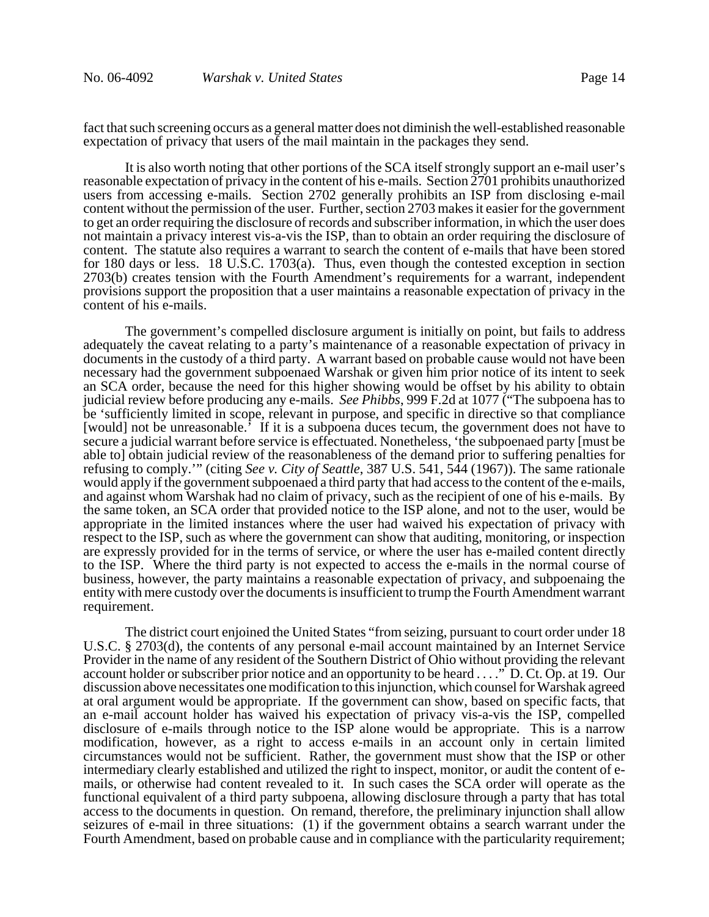fact that such screening occurs as a general matter does not diminish the well-established reasonable expectation of privacy that users of the mail maintain in the packages they send.

It is also worth noting that other portions of the SCA itself strongly support an e-mail user's reasonable expectation of privacy in the content of his e-mails. Section 2701 prohibits unauthorized users from accessing e-mails. Section 2702 generally prohibits an ISP from disclosing e-mail content without the permission of the user. Further, section 2703 makes it easier for the government to get an order requiring the disclosure of records and subscriber information, in which the user does not maintain a privacy interest vis-a-vis the ISP, than to obtain an order requiring the disclosure of content. The statute also requires a warrant to search the content of e-mails that have been stored for 180 days or less. 18 U.S.C. 1703(a). Thus, even though the contested exception in section 2703(b) creates tension with the Fourth Amendment's requirements for a warrant, independent provisions support the proposition that a user maintains a reasonable expectation of privacy in the content of his e-mails.

The government's compelled disclosure argument is initially on point, but fails to address adequately the caveat relating to a party's maintenance of a reasonable expectation of privacy in documents in the custody of a third party. A warrant based on probable cause would not have been necessary had the government subpoenaed Warshak or given him prior notice of its intent to seek an SCA order, because the need for this higher showing would be offset by his ability to obtain judicial review before producing any e-mails. *See Phibbs*, 999 F.2d at 1077 ("The subpoena has to be 'sufficiently limited in scope, relevant in purpose, and specific in directive so that compliance [would] not be unreasonable.' If it is a subpoena duces tecum, the government does not have to secure a judicial warrant before service is effectuated. Nonetheless, 'the subpoenaed party [must be able to] obtain judicial review of the reasonableness of the demand prior to suffering penalties for refusing to comply."" (citing *See v. City of Seattle*, 387 U.S. 541, 544 (1967)). The same rationale would apply if the government subpoenaed a third party that had access to the content of the e-mails, and against whom Warshak had no claim of privacy, such as the recipient of one of his e-mails. By the same token, an SCA order that provided notice to the ISP alone, and not to the user, would be appropriate in the limited instances where the user had waived his expectation of privacy with respect to the ISP, such as where the government can show that auditing, monitoring, or inspection are expressly provided for in the terms of service, or where the user has e-mailed content directly to the ISP. Where the third party is not expected to access the e-mails in the normal course of business, however, the party maintains a reasonable expectation of privacy, and subpoenaing the entity with mere custody over the documents is insufficient to trump the Fourth Amendment warrant requirement.

The district court enjoined the United States "from seizing, pursuant to court order under 18 U.S.C. § 2703(d), the contents of any personal e-mail account maintained by an Internet Service Provider in the name of any resident of the Southern District of Ohio without providing the relevant account holder or subscriber prior notice and an opportunity to be heard . . . ." D. Ct. Op. at 19. Our discussion above necessitates one modification to this injunction, which counsel for Warshak agreed at oral argument would be appropriate. If the government can show, based on specific facts, that an e-mail account holder has waived his expectation of privacy vis-a-vis the ISP, compelled disclosure of e-mails through notice to the ISP alone would be appropriate. This is a narrow modification, however, as a right to access e-mails in an account only in certain limited circumstances would not be sufficient. Rather, the government must show that the ISP or other intermediary clearly established and utilized the right to inspect, monitor, or audit the content of emails, or otherwise had content revealed to it. In such cases the SCA order will operate as the functional equivalent of a third party subpoena, allowing disclosure through a party that has total access to the documents in question. On remand, therefore, the preliminary injunction shall allow seizures of e-mail in three situations: (1) if the government obtains a search warrant under the Fourth Amendment, based on probable cause and in compliance with the particularity requirement;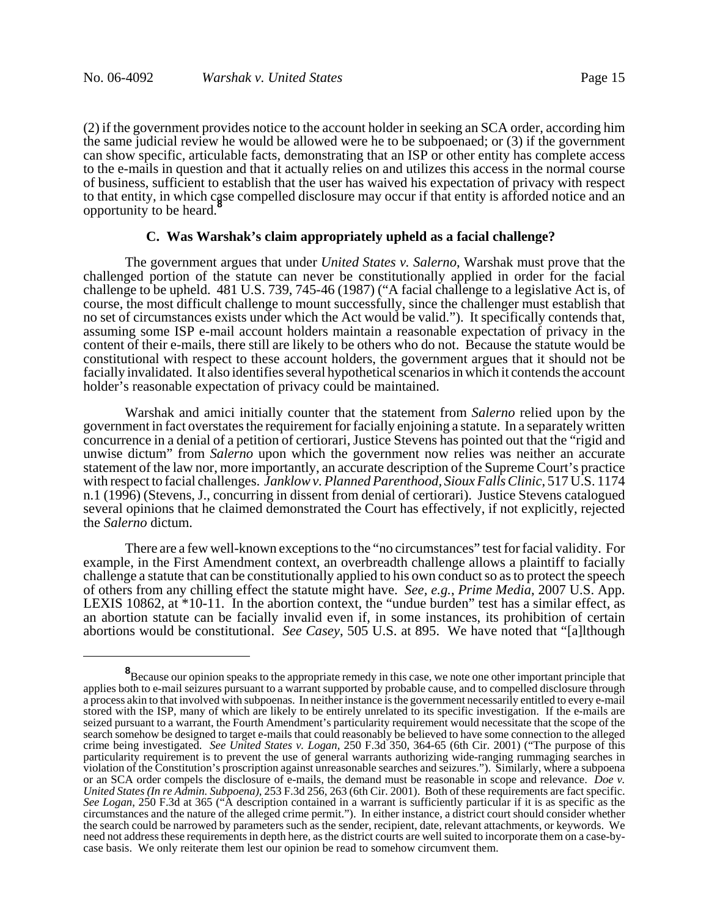(2) if the government provides notice to the account holder in seeking an SCA order, according him the same judicial review he would be allowed were he to be subpoenaed; or  $(3)$  if the government can show specific, articulable facts, demonstrating that an ISP or other entity has complete access to the e-mails in question and that it actually relies on and utilizes this access in the normal course of business, sufficient to establish that the user has waived his expectation of privacy with respect to that entity, in which case compelled disclosure may occur if that entity is afforded notice and an opportunity to be heard.**<sup>8</sup>**

### **C. Was Warshak's claim appropriately upheld as a facial challenge?**

The government argues that under *United States v. Salerno*, Warshak must prove that the challenged portion of the statute can never be constitutionally applied in order for the facial challenge to be upheld. 481 U.S. 739, 745-46 (1987) ("A facial challenge to a legislative Act is, of course, the most difficult challenge to mount successfully, since the challenger must establish that no set of circumstances exists under which the Act would be valid."). It specifically contends that, assuming some ISP e-mail account holders maintain a reasonable expectation of privacy in the content of their e-mails, there still are likely to be others who do not. Because the statute would be constitutional with respect to these account holders, the government argues that it should not be facially invalidated. It also identifies several hypothetical scenarios in which it contends the account holder's reasonable expectation of privacy could be maintained.

Warshak and amici initially counter that the statement from *Salerno* relied upon by the government in fact overstates the requirement for facially enjoining a statute. In a separately written concurrence in a denial of a petition of certiorari, Justice Stevens has pointed out that the "rigid and unwise dictum" from *Salerno* upon which the government now relies was neither an accurate statement of the law nor, more importantly, an accurate description of the Supreme Court's practice with respect to facial challenges. *Janklow v. Planned Parenthood, Sioux Falls Clinic*, 517 U.S. 1174 n.1 (1996) (Stevens, J., concurring in dissent from denial of certiorari). Justice Stevens catalogued several opinions that he claimed demonstrated the Court has effectively, if not explicitly, rejected the *Salerno* dictum.

There are a few well-known exceptions to the "no circumstances" test for facial validity. For example, in the First Amendment context, an overbreadth challenge allows a plaintiff to facially challenge a statute that can be constitutionally applied to his own conduct so as to protect the speech of others from any chilling effect the statute might have. *See, e.g.*, *Prime Media*, 2007 U.S. App. LEXIS 10862, at \*10-11. In the abortion context, the "undue burden" test has a similar effect, as an abortion statute can be facially invalid even if, in some instances, its prohibition of certain abortions would be constitutional. *See Casey*, 505 U.S. at 895. We have noted that "[a]lthough

**<sup>8</sup>** Because our opinion speaks to the appropriate remedy in this case, we note one other important principle that applies both to e-mail seizures pursuant to a warrant supported by probable cause, and to compelled disclosure through a process akin to that involved with subpoenas. In neither instance is the government necessarily entitled to every e-mail stored with the ISP, many of which are likely to be entirely unrelated to its specific investigation. If the e-mails are seized pursuant to a warrant, the Fourth Amendment's particularity requirement would necessitate that the scope of the search somehow be designed to target e-mails that could reasonably be believed to have some connection to the alleged crime being investigated. *See United States v. Logan*, 250 F.3d 350, 364-65 (6th Cir. 2001) ("The purpose of this particularity requirement is to prevent the use of general warrants authorizing wide-ranging rummaging searches in violation of the Constitution's proscription against unreasonable searches and seizures."). Similarly, where a subpoena or an SCA order compels the disclosure of e-mails, the demand must be reasonable in scope and relevance. *Doe v. United States (In re Admin. Subpoena)*, 253 F.3d 256, 263 (6th Cir. 2001). Both of these requirements are fact specific. *See Logan*, 250 F.3d at 365 ("A description contained in a warrant is sufficiently particular if it is as specific as the circumstances and the nature of the alleged crime permit."). In either instance, a district court should consider whether the search could be narrowed by parameters such as the sender, recipient, date, relevant attachments, or keywords. We need not address these requirements in depth here, as the district courts are well suited to incorporate them on a case-bycase basis. We only reiterate them lest our opinion be read to somehow circumvent them.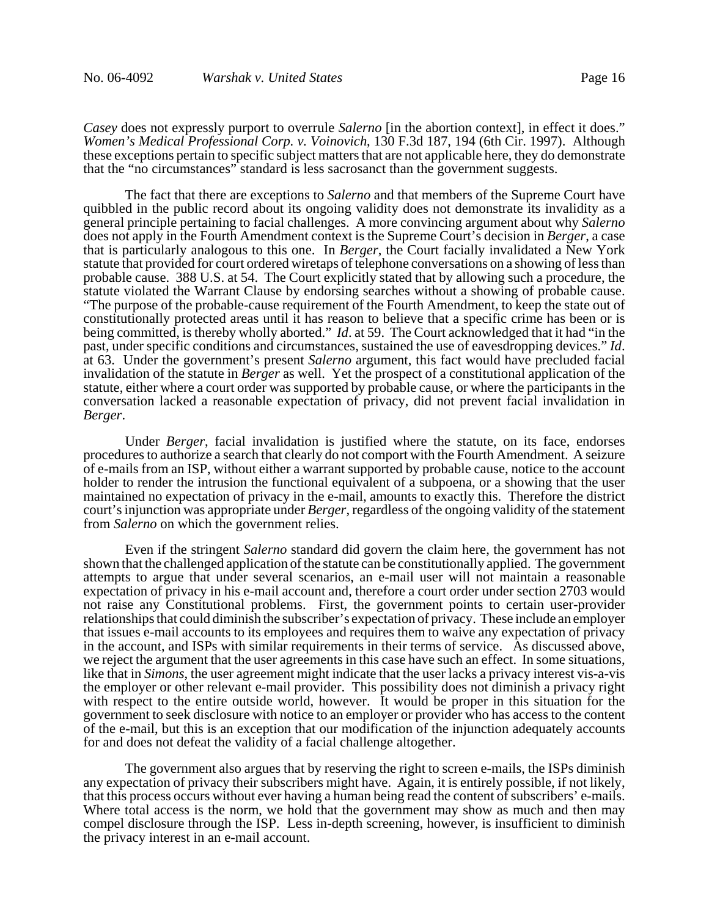*Casey* does not expressly purport to overrule *Salerno* [in the abortion context], in effect it does." *Women's Medical Professional Corp. v. Voinovich*, 130 F.3d 187, 194 (6th Cir. 1997). Although these exceptions pertain to specific subject matters that are not applicable here, they do demonstrate that the "no circumstances" standard is less sacrosanct than the government suggests.

The fact that there are exceptions to *Salerno* and that members of the Supreme Court have quibbled in the public record about its ongoing validity does not demonstrate its invalidity as a general principle pertaining to facial challenges. A more convincing argument about why *Salerno* does not apply in the Fourth Amendment context is the Supreme Court's decision in *Berger*, a case that is particularly analogous to this one. In *Berger*, the Court facially invalidated a New York statute that provided for court ordered wiretaps of telephone conversations on a showing of less than probable cause. 388 U.S. at 54. The Court explicitly stated that by allowing such a procedure, the statute violated the Warrant Clause by endorsing searches without a showing of probable cause. "The purpose of the probable-cause requirement of the Fourth Amendment, to keep the state out of constitutionally protected areas until it has reason to believe that a specific crime has been or is being committed, is thereby wholly aborted." *Id*. at 59. The Court acknowledged that it had "in the past, under specific conditions and circumstances, sustained the use of eavesdropping devices." *Id*. at 63. Under the government's present *Salerno* argument, this fact would have precluded facial invalidation of the statute in *Berger* as well. Yet the prospect of a constitutional application of the statute, either where a court order was supported by probable cause, or where the participants in the conversation lacked a reasonable expectation of privacy, did not prevent facial invalidation in *Berger*.

Under *Berger*, facial invalidation is justified where the statute, on its face, endorses procedures to authorize a search that clearly do not comport with the Fourth Amendment. A seizure of e-mails from an ISP, without either a warrant supported by probable cause, notice to the account holder to render the intrusion the functional equivalent of a subpoena, or a showing that the user maintained no expectation of privacy in the e-mail, amounts to exactly this. Therefore the district court's injunction was appropriate under *Berger*, regardless of the ongoing validity of the statement from *Salerno* on which the government relies.

Even if the stringent *Salerno* standard did govern the claim here, the government has not shown that the challenged application of the statute can be constitutionally applied. The government attempts to argue that under several scenarios, an e-mail user will not maintain a reasonable expectation of privacy in his e-mail account and, therefore a court order under section 2703 would not raise any Constitutional problems. First, the government points to certain user-provider relationships that could diminish the subscriber's expectation of privacy. These include an employer that issues e-mail accounts to its employees and requires them to waive any expectation of privacy in the account, and ISPs with similar requirements in their terms of service. As discussed above, we reject the argument that the user agreements in this case have such an effect. In some situations, like that in *Simons*, the user agreement might indicate that the user lacks a privacy interest vis-a-vis the employer or other relevant e-mail provider. This possibility does not diminish a privacy right with respect to the entire outside world, however. It would be proper in this situation for the government to seek disclosure with notice to an employer or provider who has access to the content of the e-mail, but this is an exception that our modification of the injunction adequately accounts for and does not defeat the validity of a facial challenge altogether.

The government also argues that by reserving the right to screen e-mails, the ISPs diminish any expectation of privacy their subscribers might have. Again, it is entirely possible, if not likely, that this process occurs without ever having a human being read the content of subscribers' e-mails. Where total access is the norm, we hold that the government may show as much and then may compel disclosure through the ISP. Less in-depth screening, however, is insufficient to diminish the privacy interest in an e-mail account.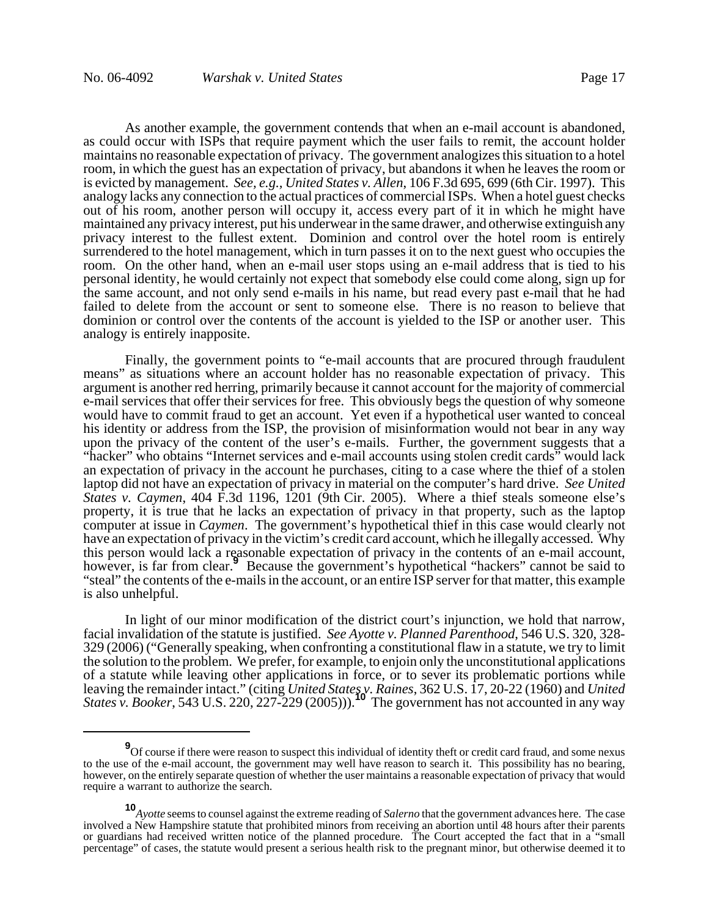As another example, the government contends that when an e-mail account is abandoned, as could occur with ISPs that require payment which the user fails to remit, the account holder maintains no reasonable expectation of privacy. The government analogizes this situation to a hotel room, in which the guest has an expectation of privacy, but abandons it when he leaves the room or is evicted by management. *See, e.g., United States v. Allen*, 106 F.3d 695, 699 (6th Cir. 1997). This analogy lacks any connection to the actual practices of commercial ISPs. When a hotel guest checks out of his room, another person will occupy it, access every part of it in which he might have maintained any privacy interest, put his underwear in the same drawer, and otherwise extinguish any privacy interest to the fullest extent. Dominion and control over the hotel room is entirely surrendered to the hotel management, which in turn passes it on to the next guest who occupies the room. On the other hand, when an e-mail user stops using an e-mail address that is tied to his personal identity, he would certainly not expect that somebody else could come along, sign up for the same account, and not only send e-mails in his name, but read every past e-mail that he had failed to delete from the account or sent to someone else. There is no reason to believe that dominion or control over the contents of the account is yielded to the ISP or another user. This analogy is entirely inapposite.

Finally, the government points to "e-mail accounts that are procured through fraudulent means" as situations where an account holder has no reasonable expectation of privacy. This argument is another red herring, primarily because it cannot account for the majority of commercial e-mail services that offer their services for free. This obviously begs the question of why someone would have to commit fraud to get an account. Yet even if a hypothetical user wanted to conceal his identity or address from the ISP, the provision of misinformation would not bear in any way upon the privacy of the content of the user's e-mails. Further, the government suggests that a "hacker" who obtains "Internet services and e-mail accounts using stolen credit cards" would lack an expectation of privacy in the account he purchases, citing to a case where the thief of a stolen laptop did not have an expectation of privacy in material on the computer's hard drive. *See United States v. Caymen*, 404 F.3d 1196, 1201 (9th Cir. 2005). Where a thief steals someone else's property, it is true that he lacks an expectation of privacy in that property, such as the laptop computer at issue in *Caymen*. The government's hypothetical thief in this case would clearly not have an expectation of privacy in the victim's credit card account, which he illegally accessed. Why this person would lack a reasonable expectation of privacy in the contents of an e-mail account, however, is far from clear. Because the government's hypothetical "hackers" cannot be said to "steal" the contents of the e-mails in the account, or an entire ISP server for that matter, this example is also unhelpful.

In light of our minor modification of the district court's injunction, we hold that narrow, facial invalidation of the statute is justified. *See Ayotte v. Planned Parenthood*, 546 U.S. 320, 328- 329 (2006) ("Generally speaking, when confronting a constitutional flaw in a statute, we try to limit the solution to the problem. We prefer, for example, to enjoin only the unconstitutional applications of a statute while leaving other applications in force, or to sever its problematic portions while leaving the remainder intact." (citing *United States v. Raines*, 362 U.S. 17, 20-22 (1960) and *United States v. Booker*, 543 U.S. 220, 227-229 (2005))).**<sup>10</sup>** The government has not accounted in any way

**<sup>9</sup>** Of course if there were reason to suspect this individual of identity theft or credit card fraud, and some nexus to the use of the e-mail account, the government may well have reason to search it. This possibility has no bearing, however, on the entirely separate question of whether the user maintains a reasonable expectation of privacy that would require a warrant to authorize the search.

**<sup>10</sup>***Ayotte* seems to counsel against the extreme reading of *Salerno* that the government advances here. The case involved a New Hampshire statute that prohibited minors from receiving an abortion until 48 hours after their parents or guardians had received written notice of the planned procedure. The Court accepted the fact that in a "small percentage" of cases, the statute would present a serious health risk to the pregnant minor, but otherwise deemed it to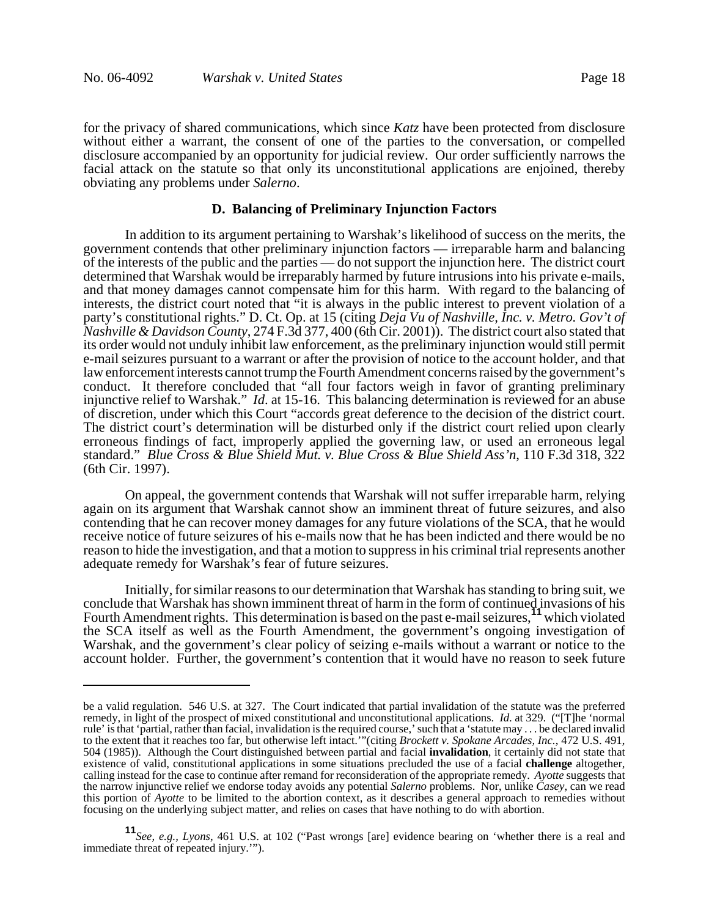for the privacy of shared communications, which since *Katz* have been protected from disclosure without either a warrant, the consent of one of the parties to the conversation, or compelled disclosure accompanied by an opportunity for judicial review. Our order sufficiently narrows the facial attack on the statute so that only its unconstitutional applications are enjoined, thereby obviating any problems under *Salerno*.

# **D. Balancing of Preliminary Injunction Factors**

In addition to its argument pertaining to Warshak's likelihood of success on the merits, the government contends that other preliminary injunction factors — irreparable harm and balancing of the interests of the public and the parties — do not support the injunction here. The district court determined that Warshak would be irreparably harmed by future intrusions into his private e-mails, and that money damages cannot compensate him for this harm. With regard to the balancing of interests, the district court noted that "it is always in the public interest to prevent violation of a party's constitutional rights." D. Ct. Op. at 15 (citing *Deja Vu of Nashville, Inc. v. Metro. Gov't of Nashville & Davidson County*, 274 F.3d 377, 400 (6th Cir. 2001)). The district court also stated that its order would not unduly inhibit law enforcement, as the preliminary injunction would still permit e-mail seizures pursuant to a warrant or after the provision of notice to the account holder, and that law enforcement interests cannot trump the Fourth Amendment concerns raised by the government's conduct. It therefore concluded that "all four factors weigh in favor of granting preliminary injunctive relief to Warshak." *Id*. at 15-16. This balancing determination is reviewed for an abuse of discretion, under which this Court "accords great deference to the decision of the district court. The district court's determination will be disturbed only if the district court relied upon clearly erroneous findings of fact, improperly applied the governing law, or used an erroneous legal standard." *Blue Cross & Blue Shield Mut. v. Blue Cross & Blue Shield Ass'n*, 110 F.3d 318, 322 (6th Cir. 1997).

On appeal, the government contends that Warshak will not suffer irreparable harm, relying again on its argument that Warshak cannot show an imminent threat of future seizures, and also contending that he can recover money damages for any future violations of the SCA, that he would receive notice of future seizures of his e-mails now that he has been indicted and there would be no reason to hide the investigation, and that a motion to suppress in his criminal trial represents another adequate remedy for Warshak's fear of future seizures.

Initially, for similar reasons to our determination that Warshak has standing to bring suit, we conclude that Warshak has shown imminent threat of harm in the form of continued invasions of his Fourth Amendment rights. This determination is based on the past e-mail seizures,**<sup>11</sup>** which violated the SCA itself as well as the Fourth Amendment, the government's ongoing investigation of Warshak, and the government's clear policy of seizing e-mails without a warrant or notice to the account holder. Further, the government's contention that it would have no reason to seek future

be a valid regulation. 546 U.S. at 327. The Court indicated that partial invalidation of the statute was the preferred remedy, in light of the prospect of mixed constitutional and unconstitutional applications. *Id*. at 329. ("[T]he 'normal rule' is that 'partial, rather than facial, invalidation is the required course,' such that a 'statute may . . . be declared invalid to the extent that it reaches too far, but otherwise left intact.'"(citing *Brockett v. Spokane Arcades, Inc.*, 472 U.S. 491, 504 (1985)). Although the Court distinguished between partial and facial **invalidation**, it certainly did not state that existence of valid, constitutional applications in some situations precluded the use of a facial **challenge** altogether, calling instead for the case to continue after remand for reconsideration of the appropriate remedy. *Ayotte* suggests that the narrow injunctive relief we endorse today avoids any potential *Salerno* problems. Nor, unlike *Casey*, can we read this portion of *Ayotte* to be limited to the abortion context, as it describes a general approach to remedies without focusing on the underlying subject matter, and relies on cases that have nothing to do with abortion.

**<sup>11</sup>***See, e.g., Lyons*, 461 U.S. at 102 ("Past wrongs [are] evidence bearing on 'whether there is a real and immediate threat of repeated injury.'").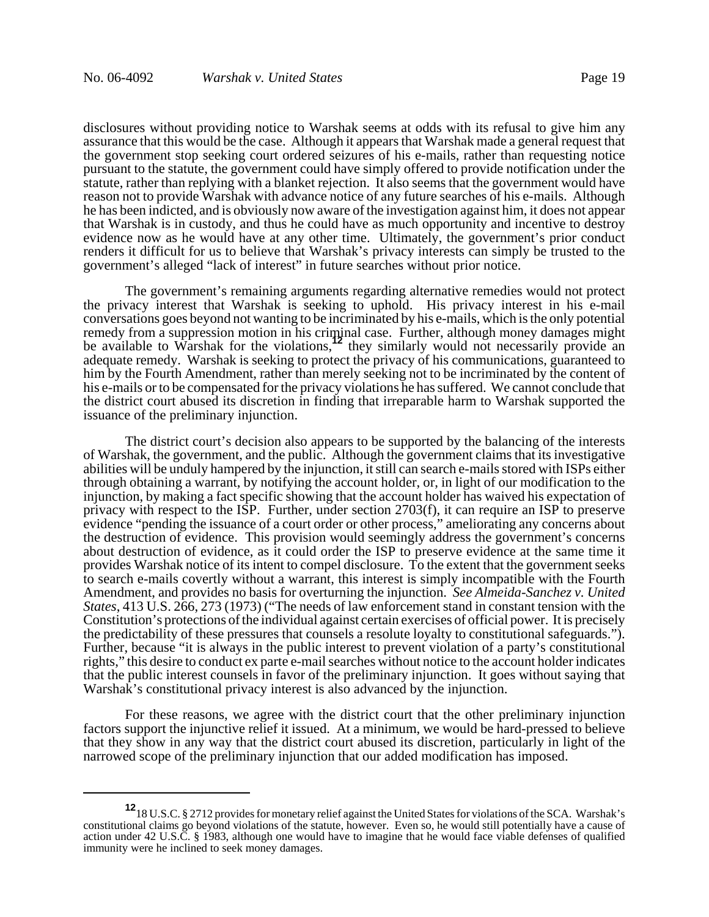disclosures without providing notice to Warshak seems at odds with its refusal to give him any assurance that this would be the case. Although it appears that Warshak made a general request that the government stop seeking court ordered seizures of his e-mails, rather than requesting notice pursuant to the statute, the government could have simply offered to provide notification under the statute, rather than replying with a blanket rejection. It also seems that the government would have reason not to provide Warshak with advance notice of any future searches of his e-mails. Although he has been indicted, and is obviously now aware of the investigation against him, it does not appear that Warshak is in custody, and thus he could have as much opportunity and incentive to destroy evidence now as he would have at any other time. Ultimately, the government's prior conduct renders it difficult for us to believe that Warshak's privacy interests can simply be trusted to the government's alleged "lack of interest" in future searches without prior notice.

The government's remaining arguments regarding alternative remedies would not protect the privacy interest that Warshak is seeking to uphold. His privacy interest in his e-mail conversations goes beyond not wanting to be incriminated by his e-mails, which is the only potential remedy from a suppression motion in his criminal case. Further, although money damages might be available to Warshak for the violations,**<sup>12</sup>** they similarly would not necessarily provide an adequate remedy. Warshak is seeking to protect the privacy of his communications, guaranteed to him by the Fourth Amendment, rather than merely seeking not to be incriminated by the content of his e-mails or to be compensated for the privacy violations he has suffered. We cannot conclude that the district court abused its discretion in finding that irreparable harm to Warshak supported the issuance of the preliminary injunction.

The district court's decision also appears to be supported by the balancing of the interests of Warshak, the government, and the public. Although the government claims that its investigative abilities will be unduly hampered by the injunction, it still can search e-mails stored with ISPs either through obtaining a warrant, by notifying the account holder, or, in light of our modification to the injunction, by making a fact specific showing that the account holder has waived his expectation of privacy with respect to the ISP. Further, under section 2703(f), it can require an ISP to preserve evidence "pending the issuance of a court order or other process," ameliorating any concerns about the destruction of evidence. This provision would seemingly address the government's concerns about destruction of evidence, as it could order the ISP to preserve evidence at the same time it provides Warshak notice of its intent to compel disclosure. To the extent that the government seeks to search e-mails covertly without a warrant, this interest is simply incompatible with the Fourth Amendment, and provides no basis for overturning the injunction. *See Almeida-Sanchez v. United States*, 413 U.S. 266, 273 (1973) ("The needs of law enforcement stand in constant tension with the Constitution's protections of the individual against certain exercises of official power. It is precisely the predictability of these pressures that counsels a resolute loyalty to constitutional safeguards."). Further, because "it is always in the public interest to prevent violation of a party's constitutional rights," this desire to conduct ex parte e-mail searches without notice to the account holder indicates that the public interest counsels in favor of the preliminary injunction. It goes without saying that Warshak's constitutional privacy interest is also advanced by the injunction.

For these reasons, we agree with the district court that the other preliminary injunction factors support the injunctive relief it issued. At a minimum, we would be hard-pressed to believe that they show in any way that the district court abused its discretion, particularly in light of the narrowed scope of the preliminary injunction that our added modification has imposed.

**<sup>12</sup>**18 U.S.C. § 2712 provides for monetary relief against the United States for violations of the SCA. Warshak's constitutional claims go beyond violations of the statute, however. Even so, he would still potentially have a cause of action under 42 U.S.C. § 1983, although one would have to imagine that he would face viable defenses of qualified immunity were he inclined to seek money damages.